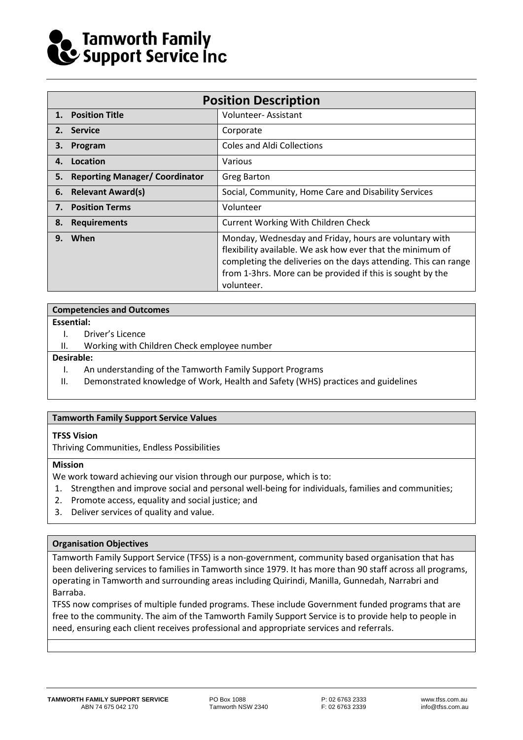# Tamworth Family<br>Cy Support Service Inc

|    | <b>Position Description</b>           |                                                                                                                                                                                                                                                                     |  |  |  |
|----|---------------------------------------|---------------------------------------------------------------------------------------------------------------------------------------------------------------------------------------------------------------------------------------------------------------------|--|--|--|
| 1. | <b>Position Title</b>                 | Volunteer-Assistant                                                                                                                                                                                                                                                 |  |  |  |
| 2. | <b>Service</b>                        | Corporate                                                                                                                                                                                                                                                           |  |  |  |
| З. | Program                               | <b>Coles and Aldi Collections</b>                                                                                                                                                                                                                                   |  |  |  |
| 4. | Location                              | Various                                                                                                                                                                                                                                                             |  |  |  |
| 5. | <b>Reporting Manager/ Coordinator</b> | <b>Greg Barton</b>                                                                                                                                                                                                                                                  |  |  |  |
| 6. | <b>Relevant Award(s)</b>              | Social, Community, Home Care and Disability Services                                                                                                                                                                                                                |  |  |  |
| 7. | <b>Position Terms</b>                 | Volunteer                                                                                                                                                                                                                                                           |  |  |  |
| 8. | <b>Requirements</b>                   | <b>Current Working With Children Check</b>                                                                                                                                                                                                                          |  |  |  |
| 9. | When                                  | Monday, Wednesday and Friday, hours are voluntary with<br>flexibility available. We ask how ever that the minimum of<br>completing the deliveries on the days attending. This can range<br>from 1-3hrs. More can be provided if this is sought by the<br>volunteer. |  |  |  |

#### **Competencies and Outcomes**

#### **Essential:**

- I. Driver's Licence
- II. Working with Children Check employee number

#### **Desirable:**

- I. An understanding of the Tamworth Family Support Programs
- II. Demonstrated knowledge of Work, Health and Safety (WHS) practices and guidelines

#### **Tamworth Family Support Service Values**

#### **TFSS Vision**

Thriving Communities, Endless Possibilities

#### **Mission**

We work toward achieving our vision through our purpose, which is to:

- 1. Strengthen and improve social and personal well-being for individuals, families and communities;
- 2. Promote access, equality and social justice; and
- 3. Deliver services of quality and value.

#### **Organisation Objectives**

Tamworth Family Support Service (TFSS) is a non-government, community based organisation that has been delivering services to families in Tamworth since 1979. It has more than 90 staff across all programs, operating in Tamworth and surrounding areas including Quirindi, Manilla, Gunnedah, Narrabri and Barraba.

TFSS now comprises of multiple funded programs. These include Government funded programs that are free to the community. The aim of the Tamworth Family Support Service is to provide help to people in need, ensuring each client receives professional and appropriate services and referrals.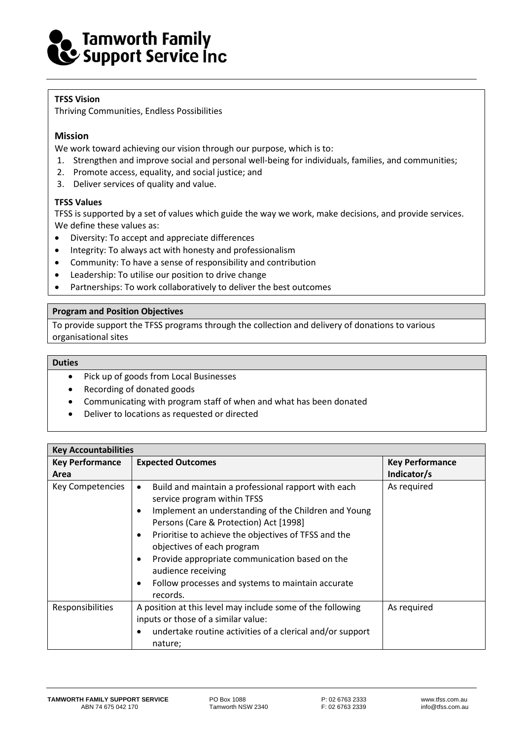## Tamworth Family<br>Cy Support Service Inc

#### **TFSS Vision**

Thriving Communities, Endless Possibilities

#### **Mission**

We work toward achieving our vision through our purpose, which is to:

- 1. Strengthen and improve social and personal well-being for individuals, families, and communities;
- 2. Promote access, equality, and social justice; and
- 3. Deliver services of quality and value.

#### **TFSS Values**

TFSS is supported by a set of values which guide the way we work, make decisions, and provide services. We define these values as:

- Diversity: To accept and appreciate differences
- Integrity: To always act with honesty and professionalism
- Community: To have a sense of responsibility and contribution
- Leadership: To utilise our position to drive change
- Partnerships: To work collaboratively to deliver the best outcomes

#### **Program and Position Objectives**

To provide support the TFSS programs through the collection and delivery of donations to various organisational sites

#### **Duties**

- Pick up of goods from Local Businesses
- Recording of donated goods
- Communicating with program staff of when and what has been donated
- Deliver to locations as requested or directed

| <b>Key Accountabilities</b>    |                                                                                                                                                                                                                                                                                                                                                                                                                                                                                      |                                       |  |  |  |
|--------------------------------|--------------------------------------------------------------------------------------------------------------------------------------------------------------------------------------------------------------------------------------------------------------------------------------------------------------------------------------------------------------------------------------------------------------------------------------------------------------------------------------|---------------------------------------|--|--|--|
| <b>Key Performance</b><br>Area | <b>Expected Outcomes</b>                                                                                                                                                                                                                                                                                                                                                                                                                                                             | <b>Key Performance</b><br>Indicator/s |  |  |  |
| Key Competencies               | Build and maintain a professional rapport with each<br>$\bullet$<br>service program within TFSS<br>Implement an understanding of the Children and Young<br>$\bullet$<br>Persons (Care & Protection) Act [1998]<br>Prioritise to achieve the objectives of TFSS and the<br>$\bullet$<br>objectives of each program<br>Provide appropriate communication based on the<br>$\bullet$<br>audience receiving<br>Follow processes and systems to maintain accurate<br>$\bullet$<br>records. | As required                           |  |  |  |
| <b>Responsibilities</b>        | A position at this level may include some of the following<br>inputs or those of a similar value:<br>undertake routine activities of a clerical and/or support<br>$\bullet$                                                                                                                                                                                                                                                                                                          | As required                           |  |  |  |
|                                | nature;                                                                                                                                                                                                                                                                                                                                                                                                                                                                              |                                       |  |  |  |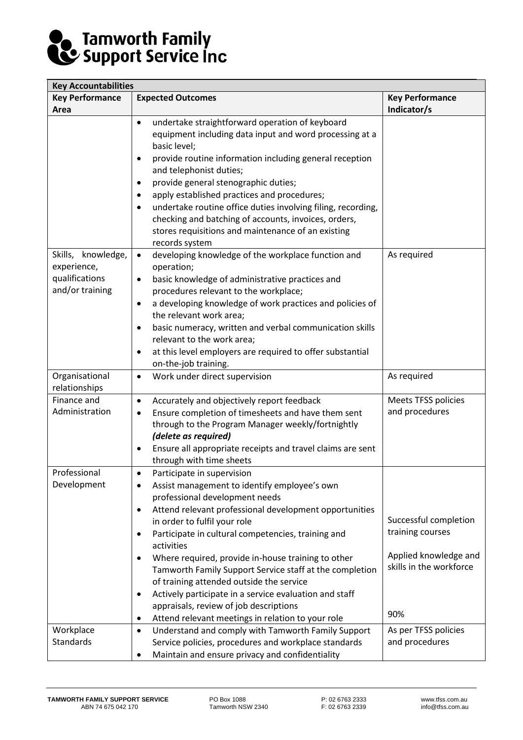# **De Tamworth Family<br>Ce Support Service Inc**

| <b>Key Accountabilities</b>                                            |                                                                                                                                                                                                                                                                                                                                                                                                                                                                                                                                                                                                                                                                                     |                                                                                                      |  |  |  |
|------------------------------------------------------------------------|-------------------------------------------------------------------------------------------------------------------------------------------------------------------------------------------------------------------------------------------------------------------------------------------------------------------------------------------------------------------------------------------------------------------------------------------------------------------------------------------------------------------------------------------------------------------------------------------------------------------------------------------------------------------------------------|------------------------------------------------------------------------------------------------------|--|--|--|
| <b>Key Performance</b>                                                 | <b>Expected Outcomes</b>                                                                                                                                                                                                                                                                                                                                                                                                                                                                                                                                                                                                                                                            | <b>Key Performance</b>                                                                               |  |  |  |
| Area                                                                   |                                                                                                                                                                                                                                                                                                                                                                                                                                                                                                                                                                                                                                                                                     | Indicator/s                                                                                          |  |  |  |
|                                                                        | undertake straightforward operation of keyboard<br>$\bullet$<br>equipment including data input and word processing at a<br>basic level;<br>provide routine information including general reception<br>$\bullet$<br>and telephonist duties;<br>provide general stenographic duties;<br>$\bullet$<br>apply established practices and procedures;<br>$\bullet$<br>undertake routine office duties involving filing, recording,<br>$\bullet$<br>checking and batching of accounts, invoices, orders,<br>stores requisitions and maintenance of an existing<br>records system                                                                                                            |                                                                                                      |  |  |  |
| Skills, knowledge,<br>experience,<br>qualifications<br>and/or training | developing knowledge of the workplace function and<br>$\bullet$<br>operation;<br>basic knowledge of administrative practices and<br>$\bullet$<br>procedures relevant to the workplace;<br>a developing knowledge of work practices and policies of<br>$\bullet$<br>the relevant work area;<br>basic numeracy, written and verbal communication skills<br>$\bullet$<br>relevant to the work area;<br>at this level employers are required to offer substantial<br>$\bullet$<br>on-the-job training.                                                                                                                                                                                  | As required                                                                                          |  |  |  |
| Organisational<br>relationships                                        | Work under direct supervision<br>$\bullet$                                                                                                                                                                                                                                                                                                                                                                                                                                                                                                                                                                                                                                          | As required                                                                                          |  |  |  |
| Finance and<br>Administration                                          | Accurately and objectively report feedback<br>$\bullet$<br>Ensure completion of timesheets and have them sent<br>$\bullet$<br>through to the Program Manager weekly/fortnightly<br>(delete as required)<br>Ensure all appropriate receipts and travel claims are sent<br>$\bullet$<br>through with time sheets                                                                                                                                                                                                                                                                                                                                                                      | Meets TFSS policies<br>and procedures                                                                |  |  |  |
| Professional<br>Development                                            | Participate in supervision<br>$\bullet$<br>Assist management to identify employee's own<br>$\bullet$<br>professional development needs<br>Attend relevant professional development opportunities<br>$\bullet$<br>in order to fulfil your role<br>Participate in cultural competencies, training and<br>٠<br>activities<br>Where required, provide in-house training to other<br>$\bullet$<br>Tamworth Family Support Service staff at the completion<br>of training attended outside the service<br>Actively participate in a service evaluation and staff<br>$\bullet$<br>appraisals, review of job descriptions<br>Attend relevant meetings in relation to your role<br>$\bullet$ | Successful completion<br>training courses<br>Applied knowledge and<br>skills in the workforce<br>90% |  |  |  |
| Workplace<br><b>Standards</b>                                          | Understand and comply with Tamworth Family Support<br>$\bullet$<br>Service policies, procedures and workplace standards<br>Maintain and ensure privacy and confidentiality<br>٠                                                                                                                                                                                                                                                                                                                                                                                                                                                                                                     | As per TFSS policies<br>and procedures                                                               |  |  |  |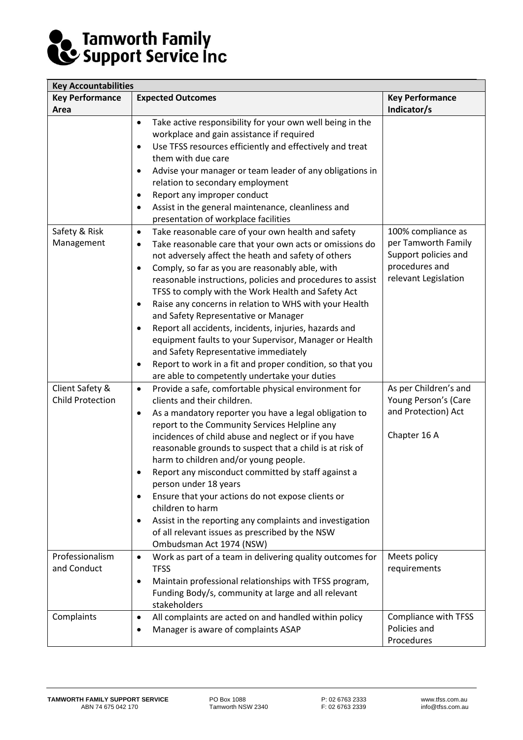# **De Tamworth Family<br>Ce Support Service Inc**

| <b>Key Accountabilities</b>                |                                                                                                                                                                                                                                                                                                                                                                                                                                                                                                                                                                                                                                                                                                                                       |                                                                                                             |  |  |  |
|--------------------------------------------|---------------------------------------------------------------------------------------------------------------------------------------------------------------------------------------------------------------------------------------------------------------------------------------------------------------------------------------------------------------------------------------------------------------------------------------------------------------------------------------------------------------------------------------------------------------------------------------------------------------------------------------------------------------------------------------------------------------------------------------|-------------------------------------------------------------------------------------------------------------|--|--|--|
| <b>Key Performance</b>                     | <b>Expected Outcomes</b>                                                                                                                                                                                                                                                                                                                                                                                                                                                                                                                                                                                                                                                                                                              | <b>Key Performance</b>                                                                                      |  |  |  |
| Area                                       |                                                                                                                                                                                                                                                                                                                                                                                                                                                                                                                                                                                                                                                                                                                                       | Indicator/s                                                                                                 |  |  |  |
|                                            | Take active responsibility for your own well being in the<br>$\bullet$<br>workplace and gain assistance if required<br>Use TFSS resources efficiently and effectively and treat<br>$\bullet$<br>them with due care<br>Advise your manager or team leader of any obligations in<br>$\bullet$<br>relation to secondary employment<br>Report any improper conduct<br>$\bullet$<br>Assist in the general maintenance, cleanliness and<br>$\bullet$                                                                                                                                                                                                                                                                                        |                                                                                                             |  |  |  |
|                                            | presentation of workplace facilities                                                                                                                                                                                                                                                                                                                                                                                                                                                                                                                                                                                                                                                                                                  |                                                                                                             |  |  |  |
| Safety & Risk<br>Management                | Take reasonable care of your own health and safety<br>$\bullet$<br>Take reasonable care that your own acts or omissions do<br>$\bullet$<br>not adversely affect the heath and safety of others<br>Comply, so far as you are reasonably able, with<br>$\bullet$<br>reasonable instructions, policies and procedures to assist<br>TFSS to comply with the Work Health and Safety Act<br>Raise any concerns in relation to WHS with your Health<br>٠<br>and Safety Representative or Manager<br>Report all accidents, incidents, injuries, hazards and<br>٠<br>equipment faults to your Supervisor, Manager or Health<br>and Safety Representative immediately<br>Report to work in a fit and proper condition, so that you<br>$\bullet$ | 100% compliance as<br>per Tamworth Family<br>Support policies and<br>procedures and<br>relevant Legislation |  |  |  |
|                                            | are able to competently undertake your duties                                                                                                                                                                                                                                                                                                                                                                                                                                                                                                                                                                                                                                                                                         |                                                                                                             |  |  |  |
| Client Safety &<br><b>Child Protection</b> | Provide a safe, comfortable physical environment for<br>$\bullet$<br>clients and their children.<br>As a mandatory reporter you have a legal obligation to<br>٠<br>report to the Community Services Helpline any<br>incidences of child abuse and neglect or if you have<br>reasonable grounds to suspect that a child is at risk of<br>harm to children and/or young people.<br>Report any misconduct committed by staff against a<br>person under 18 years<br>Ensure that your actions do not expose clients or<br>٠<br>children to harm<br>Assist in the reporting any complaints and investigation<br>$\bullet$<br>of all relevant issues as prescribed by the NSW<br>Ombudsman Act 1974 (NSW)                                    | As per Children's and<br>Young Person's (Care<br>and Protection) Act<br>Chapter 16 A                        |  |  |  |
| Professionalism<br>and Conduct             | Work as part of a team in delivering quality outcomes for<br>$\bullet$<br><b>TFSS</b><br>Maintain professional relationships with TFSS program,<br>٠<br>Funding Body/s, community at large and all relevant<br>stakeholders                                                                                                                                                                                                                                                                                                                                                                                                                                                                                                           | Meets policy<br>requirements                                                                                |  |  |  |
| Complaints                                 | All complaints are acted on and handled within policy<br>$\bullet$<br>Manager is aware of complaints ASAP                                                                                                                                                                                                                                                                                                                                                                                                                                                                                                                                                                                                                             | Compliance with TFSS<br>Policies and<br>Procedures                                                          |  |  |  |